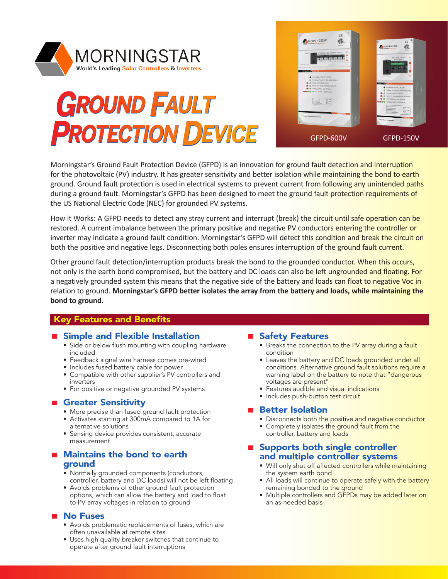

# **GROUND FAULT GROUND FAULT PROTECTION DEVICE PROTECTION DEVICE**



Morningstar's Ground Fault Protection Device (GFPD) is an innovation for ground fault detection and interruption for the photovoltaic (PV) industry. It has greater sensitivity and better isolation while maintaining the bond to earth ground. Ground fault protection is used in electrical systems to prevent current from following any unintended paths during a ground fault. Morningstar's GFPD has been designed to meet the ground fault protection requirements of the US National Electric Code (NEC) for grounded PV systems.

How it Works: A GFPD needs to detect any stray current and interrupt (break) the circuit until safe operation can be restored. A current imbalance between the primary positive and negative PV conductors entering the controller or inverter may indicate a ground fault condition. Morningstar's GFPD will detect this condition and break the circuit on both the positive and negative legs. Disconnecting both poles ensures interruption of the ground fault current.

Other ground fault detection/interruption products break the bond to the grounded conductor. When this occurs, not only is the earth bond compromised, but the battery and DC loads can also be left ungrounded and floating. For a negatively grounded system this means that the negative side of the battery and loads can float to negative Voc in relation to ground. **Morningstar's GFPD better isolates the array from the battery and loads, while maintaining the bond to ground.**

# Key Features and Benefits

# ■ Simple and Flexible Installation

- Side or below flush mounting with coupling hardware included
- Feedback signal wire harness comes pre-wired
- Includes fused battery cable for power
- Compatible with other supplier's PV controllers and inverters
- For positive or negative grounded PV systems

# Greater Sensitivity

- More precise than fused ground fault protection
- Activates starting at 300mA compared to 1A for alternative solutions
- Sensing device provides consistent, accurate measurement

# **Maintains the bond to earth** ground

- Normally grounded components (conductors, controller, battery and DC loads) will not be left floating
- Avoids problems of other ground fault protection options, which can allow the battery and load to float to PV array voltages in relation to ground

# No Fuses

- Avoids problematic replacements of fuses, which are often unavailable at remote sites
- Uses high quality breaker switches that continue to operate after ground fault interruptions

# ■ Safety Features

- Breaks the connection to the PV array during a fault condition
- Leaves the battery and DC loads grounded under all conditions. Alternative ground fault solutions require a warning label on the battery to note that "dangerous voltages are present"
- Features audible and visual indications
- Includes push-button test circuit

### **Better Isolation**

- Disconnects both the positive and negative conductor
- Completely isolates the ground fault from the controller, battery and loads

# **B** Supports both single controller and multiple controller systems

- Will only shut off affected controllers while maintaining the system earth bond
- All loads will continue to operate safely with the battery remaining bonded to the ground
- Multiple controllers and GFPDs may be added later on an as-needed basis